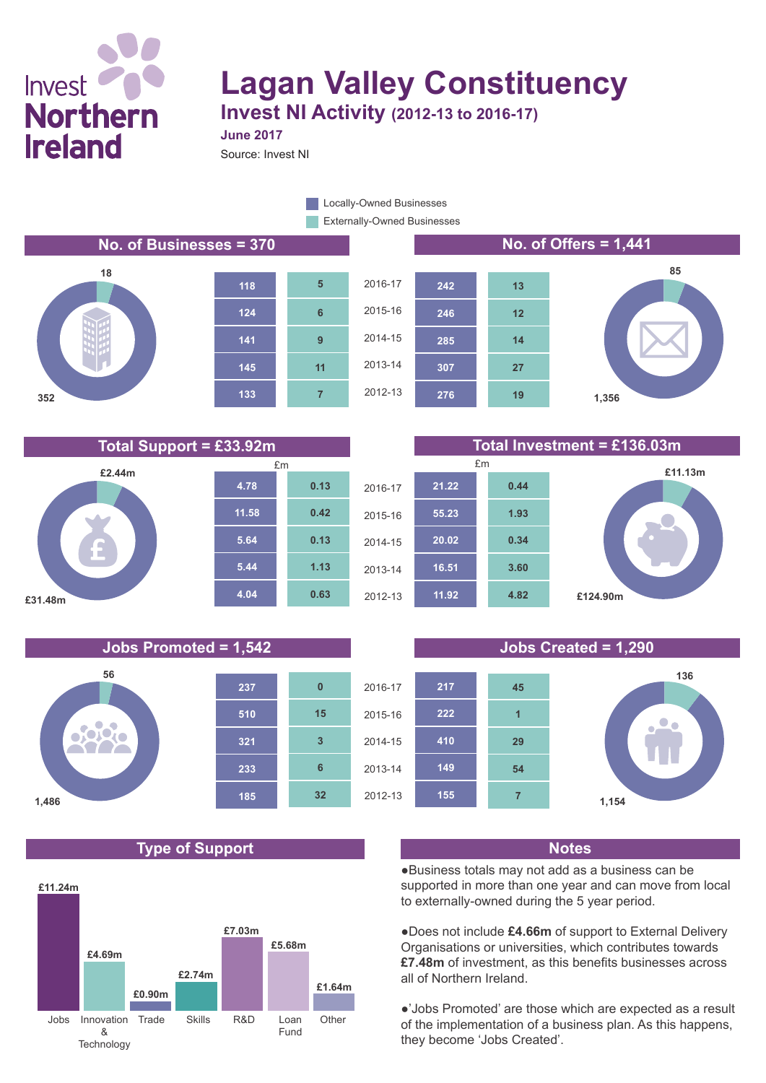## Invest **Northern Ireland**

# **Lagan Valley Constituency**

**285**

**246**

**242**

**Invest NI Activity (2012-13 to 2016-17) June 2017**

Source: Invest NI

Externally-Owned Businesses **Locally-Owned Businesses** 

#### **No. of Businesses = 370 No. of Offers = 1,441**











#### **276 307 19 27**

**14**

**12**

**13**



#### **Jobs Promoted = 1,542 Jobs Created = 1,290**



## **Type of Support Notes**





●Business totals may not add as a business can be supported in more than one year and can move from local to externally-owned during the 5 year period.

●Does not include **£4.66m** of support to External Delivery Organisations or universities, which contributes towards **£7.48m** of investment, as this benefits businesses across all of Northern Ireland.

●'Jobs Promoted' are those which are expected as a result of the implementation of a business plan. As this happens, they become 'Jobs Created'.